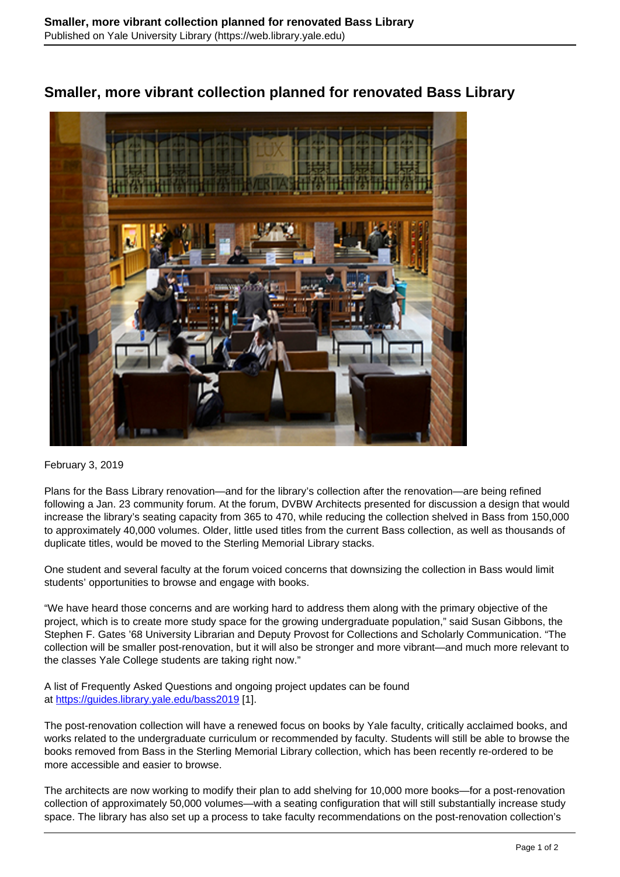## **Smaller, more vibrant collection planned for renovated Bass Library**



## February 3, 2019

Plans for the Bass Library renovation—and for the library's collection after the renovation—are being refined following a Jan. 23 community forum. At the forum, DVBW Architects presented for discussion a design that would increase the library's seating capacity from 365 to 470, while reducing the collection shelved in Bass from 150,000 to approximately 40,000 volumes. Older, little used titles from the current Bass collection, as well as thousands of duplicate titles, would be moved to the Sterling Memorial Library stacks.

One student and several faculty at the forum voiced concerns that downsizing the collection in Bass would limit students' opportunities to browse and engage with books.

"We have heard those concerns and are working hard to address them along with the primary objective of the project, which is to create more study space for the growing undergraduate population," said Susan Gibbons, the Stephen F. Gates '68 University Librarian and Deputy Provost for Collections and Scholarly Communication. "The collection will be smaller post-renovation, but it will also be stronger and more vibrant—and much more relevant to the classes Yale College students are taking right now."

A list of Frequently Asked Questions and ongoing project updates can be found at <https://guides.library.yale.edu/bass2019> [1].

The post-renovation collection will have a renewed focus on books by Yale faculty, critically acclaimed books, and works related to the undergraduate curriculum or recommended by faculty. Students will still be able to browse the books removed from Bass in the Sterling Memorial Library collection, which has been recently re-ordered to be more accessible and easier to browse.

The architects are now working to modify their plan to add shelving for 10,000 more books—for a post-renovation collection of approximately 50,000 volumes—with a seating configuration that will still substantially increase study space. The library has also set up a process to take faculty recommendations on the post-renovation collection's